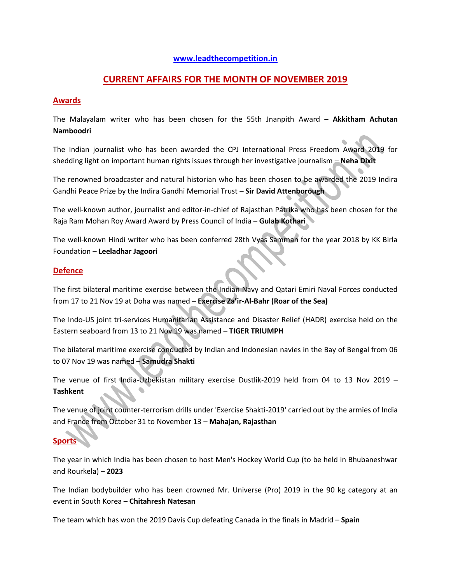### **[www.leadthecompetition.in](http://www.leadthecompetition.in/)**

## **CURRENT AFFAIRS FOR THE MONTH OF NOVEMBER 2019**

### **Awards**

The Malayalam writer who has been chosen for the 55th Jnanpith Award – **Akkitham Achutan Namboodri**

The Indian journalist who has been awarded the CPJ International Press Freedom Award 2019 for shedding light on important human rights issues through her investigative journalism – **Neha Dixit**

The renowned broadcaster and natural historian who has been chosen to be awarded the 2019 Indira Gandhi Peace Prize by the Indira Gandhi Memorial Trust – **Sir David Attenborough**

The well-known author, journalist and editor-in-chief of Rajasthan Patrika who has been chosen for the Raja Ram Mohan Roy Award Award by Press Council of India – **Gulab Kothari**

The well-known Hindi writer who has been conferred 28th Vyas Samman for the year 2018 by KK Birla Foundation – **Leeladhar Jagoori**

### **Defence**

The first bilateral maritime exercise between the Indian Navy and Qatari Emiri Naval Forces conducted from 17 to 21 Nov 19 at Doha was named – **Exercise Za'ir-Al-Bahr (Roar of the Sea)**

The Indo-US joint tri-services Humanitarian Assistance and Disaster Relief (HADR) exercise held on the Eastern seaboard from 13 to 21 Nov 19 was named – **TIGER TRIUMPH**

The bilateral maritime exercise conducted by Indian and Indonesian navies in the Bay of Bengal from 06 to 07 Nov 19 was named – **Samudra Shakti**

The venue of first India-Uzbekistan military exercise Dustlik-2019 held from 04 to 13 Nov 2019 – **Tashkent**

The venue of joint counter-terrorism drills under 'Exercise Shakti-2019' carried out by the armies of India and France from October 31 to November 13 – **Mahajan, Rajasthan**

# **Sports**

The year in which India has been chosen to host Men's Hockey World Cup (to be held in Bhubaneshwar and Rourkela) – **2023**

The Indian bodybuilder who has been crowned Mr. Universe (Pro) 2019 in the 90 kg category at an event in South Korea – **Chitahresh Natesan**

The team which has won the 2019 Davis Cup defeating Canada in the finals in Madrid – **Spain**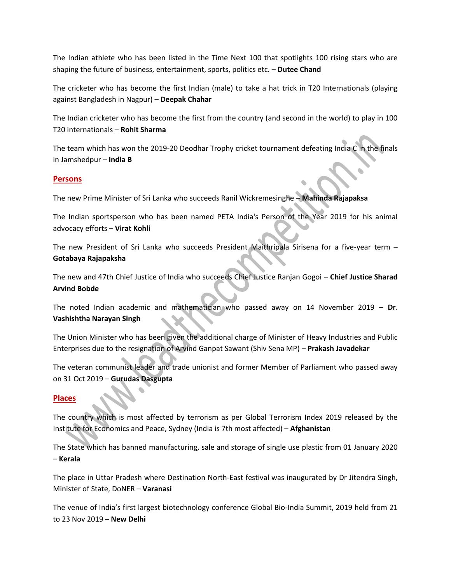The Indian athlete who has been listed in the Time Next 100 that spotlights 100 rising stars who are shaping the future of business, entertainment, sports, politics etc. – **Dutee Chand**

The cricketer who has become the first Indian (male) to take a hat trick in T20 Internationals (playing against Bangladesh in Nagpur) – **Deepak Chahar**

The Indian cricketer who has become the first from the country (and second in the world) to play in 100 T20 internationals – **Rohit Sharma**

The team which has won the 2019-20 Deodhar Trophy cricket tournament defeating India C in the finals in Jamshedpur – **India B**

### **Persons**

The new Prime Minister of Sri Lanka who succeeds Ranil Wickremesinghe – **Mahinda Rajapaksa**

The Indian sportsperson who has been named PETA India's Person of the Year 2019 for his animal advocacy efforts – **Virat Kohli**

The new President of Sri Lanka who succeeds President Maithripala Sirisena for a five-year term – **Gotabaya Rajapaksha**

The new and 47th Chief Justice of India who succeeds Chief Justice Ranjan Gogoi – **Chief Justice Sharad Arvind Bobde**

The noted Indian academic and mathematician who passed away on 14 November 2019 – **Dr**. **Vashishtha Narayan Singh**

The Union Minister who has been given the additional charge of Minister of Heavy Industries and Public Enterprises due to the resignation of Arvind Ganpat Sawant (Shiv Sena MP) – **Prakash Javadekar**

The veteran communist leader and trade unionist and former Member of Parliament who passed away on 31 Oct 2019 – **Gurudas Dasgupta**

### **Places**

The country which is most affected by terrorism as per Global Terrorism Index 2019 released by the Institute for Economics and Peace, Sydney (India is 7th most affected) – **Afghanistan**

The State which has banned manufacturing, sale and storage of single use plastic from 01 January 2020 – **Kerala**

The place in Uttar Pradesh where Destination North-East festival was inaugurated by Dr Jitendra Singh, Minister of State, DoNER – **Varanasi**

The venue of India's first largest biotechnology conference Global Bio-India Summit, 2019 held from 21 to 23 Nov 2019 – **New Delhi**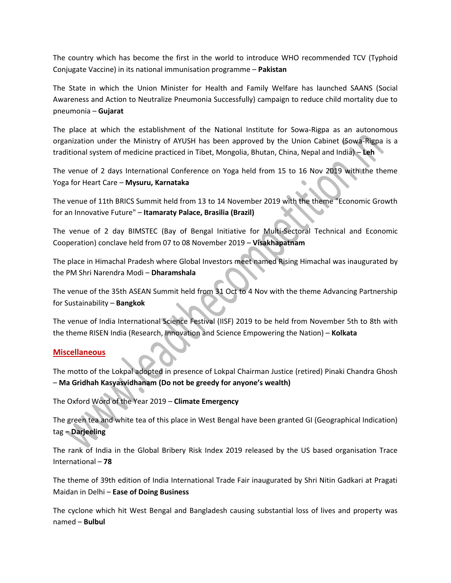The country which has become the first in the world to introduce WHO recommended TCV (Typhoid Conjugate Vaccine) in its national immunisation programme – **Pakistan**

The State in which the Union Minister for Health and Family Welfare has launched SAANS (Social Awareness and Action to Neutralize Pneumonia Successfully) campaign to reduce child mortality due to pneumonia – **Gujarat**

The place at which the establishment of the National Institute for Sowa-Rigpa as an autonomous organization under the Ministry of AYUSH has been approved by the Union Cabinet (Sowa-Rigpa is a traditional system of medicine practiced in Tibet, Mongolia, Bhutan, China, Nepal and India) – **Leh**

The venue of 2 days International Conference on Yoga held from 15 to 16 Nov 2019 with the theme Yoga for Heart Care – **Mysuru, Karnataka**

The venue of 11th BRICS Summit held from 13 to 14 November 2019 with the theme "Economic Growth for an Innovative Future" – **Itamaraty Palace, Brasilia (Brazil)**

The venue of 2 day BIMSTEC (Bay of Bengal Initiative for Multi-Sectoral Technical and Economic Cooperation) conclave held from 07 to 08 November 2019 – **Visakhapatnam**

The place in Himachal Pradesh where Global Investors meet named Rising Himachal was inaugurated by the PM Shri Narendra Modi – **Dharamshala**

The venue of the 35th ASEAN Summit held from 31 Oct to 4 Nov with the theme Advancing Partnership for Sustainability – **Bangkok**

The venue of India International Science Festival (IISF) 2019 to be held from November 5th to 8th with the theme RISEN India (Research, Innovation and Science Empowering the Nation) – **Kolkata**

### **Miscellaneous**

The motto of the Lokpal adopted in presence of Lokpal Chairman Justice (retired) Pinaki Chandra Ghosh – **Ma Gridhah Kasyasvidhanam (Do not be greedy for anyone's wealth)**

The Oxford Word of the Year 2019 – **Climate Emergency**

The green tea and white tea of this place in West Bengal have been granted GI (Geographical Indication) tag – **Darjeeling**

The rank of India in the Global Bribery Risk Index 2019 released by the US based organisation Trace International – **78**

The theme of 39th edition of India International Trade Fair inaugurated by Shri Nitin Gadkari at Pragati Maidan in Delhi – **Ease of Doing Business**

The cyclone which hit West Bengal and Bangladesh causing substantial loss of lives and property was named – **Bulbul**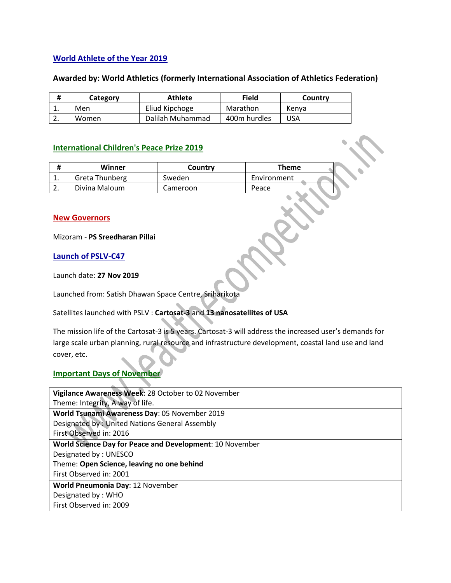## **World Athlete of the Year 2019**

### **Awarded by: World Athletics (formerly International Association of Athletics Federation)**

|          | Category | <b>Athlete</b>   | Field        | Country |
|----------|----------|------------------|--------------|---------|
| <b>.</b> | Men      | Eliud Kipchoge   | Marathon     | Kenva   |
| <u>.</u> | Women    | Dalilah Muhammad | 400m hurdles | USA     |

### **International Children's Peace Prize 2019**

|          | Winner         | Country  | Theme       |  |
|----------|----------------|----------|-------------|--|
| <b>.</b> | Greta Thunberg | Sweden   | Environment |  |
|          | Divina Maloum  | Cameroon | Peace       |  |

### **New Governors**

Mizoram - **PS Sreedharan Pillai**

**Launch of PSLV-C47**

Launch date: **27 Nov 2019**

Launched from: Satish Dhawan Space Centre, Sriharikota

Satellites launched with PSLV : **Cartosat-3** and **13 nanosatellites of USA**

The mission life of the Cartosat-3 is 5 years. Cartosat-3 will address the increased user's demands for large scale urban planning, rural resource and infrastructure development, coastal land use and land cover, etc.

### **Important Days of November**

| Vigilance Awareness Week: 28 October to 02 November      |  |  |
|----------------------------------------------------------|--|--|
| Theme: Integrity, A way of life.                         |  |  |
| World Tsunami Awareness Day: 05 November 2019            |  |  |
| Designated by: United Nations General Assembly           |  |  |
| First Observed in: 2016                                  |  |  |
| World Science Day for Peace and Development: 10 November |  |  |
| Designated by: UNESCO                                    |  |  |
| Theme: Open Science, leaving no one behind               |  |  |
| First Observed in: 2001                                  |  |  |
| World Pneumonia Day: 12 November                         |  |  |
| Designated by: WHO                                       |  |  |
| First Observed in: 2009                                  |  |  |
|                                                          |  |  |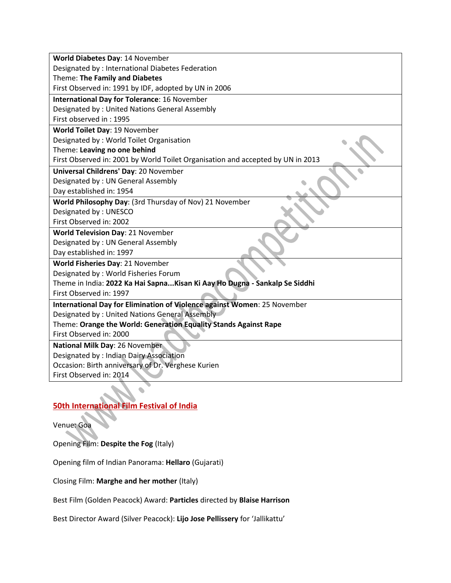| Designated by: International Diabetes Federation<br>Theme: The Family and Diabetes<br>First Observed in: 1991 by IDF, adopted by UN in 2006<br><b>International Day for Tolerance: 16 November</b><br>Designated by: United Nations General Assembly<br>First observed in: 1995<br>World Toilet Day: 19 November<br>Designated by: World Toilet Organisation<br>Theme: Leaving no one behind<br>First Observed in: 2001 by World Toilet Organisation and accepted by UN in 2013<br>Universal Childrens' Day: 20 November<br>Designated by: UN General Assembly<br>Day established in: 1954<br>World Philosophy Day: (3rd Thursday of Nov) 21 November<br>Designated by: UNESCO<br>First Observed in: 2002<br>World Television Day: 21 November<br>Designated by: UN General Assembly<br>Day established in: 1997<br>World Fisheries Day: 21 November<br>Designated by: World Fisheries Forum<br>Theme in India: 2022 Ka Hai Sapna Kisan Ki Aay Ho Dugna - Sankalp Se Siddhi<br>First Observed in: 1997<br>International Day for Elimination of Violence against Women: 25 November<br>Designated by: United Nations General Assembly<br>Theme: Orange the World: Generation Equality Stands Against Rape<br>First Observed in: 2000<br>National Milk Day: 26 November<br>Designated by : Indian Dairy Association<br>Occasion: Birth anniversary of Dr. Verghese Kurien | World Diabetes Day: 14 November |  |  |  |  |
|-------------------------------------------------------------------------------------------------------------------------------------------------------------------------------------------------------------------------------------------------------------------------------------------------------------------------------------------------------------------------------------------------------------------------------------------------------------------------------------------------------------------------------------------------------------------------------------------------------------------------------------------------------------------------------------------------------------------------------------------------------------------------------------------------------------------------------------------------------------------------------------------------------------------------------------------------------------------------------------------------------------------------------------------------------------------------------------------------------------------------------------------------------------------------------------------------------------------------------------------------------------------------------------------------------------------------------------------------------------------------|---------------------------------|--|--|--|--|
|                                                                                                                                                                                                                                                                                                                                                                                                                                                                                                                                                                                                                                                                                                                                                                                                                                                                                                                                                                                                                                                                                                                                                                                                                                                                                                                                                                         |                                 |  |  |  |  |
|                                                                                                                                                                                                                                                                                                                                                                                                                                                                                                                                                                                                                                                                                                                                                                                                                                                                                                                                                                                                                                                                                                                                                                                                                                                                                                                                                                         |                                 |  |  |  |  |
|                                                                                                                                                                                                                                                                                                                                                                                                                                                                                                                                                                                                                                                                                                                                                                                                                                                                                                                                                                                                                                                                                                                                                                                                                                                                                                                                                                         |                                 |  |  |  |  |
|                                                                                                                                                                                                                                                                                                                                                                                                                                                                                                                                                                                                                                                                                                                                                                                                                                                                                                                                                                                                                                                                                                                                                                                                                                                                                                                                                                         |                                 |  |  |  |  |
|                                                                                                                                                                                                                                                                                                                                                                                                                                                                                                                                                                                                                                                                                                                                                                                                                                                                                                                                                                                                                                                                                                                                                                                                                                                                                                                                                                         |                                 |  |  |  |  |
|                                                                                                                                                                                                                                                                                                                                                                                                                                                                                                                                                                                                                                                                                                                                                                                                                                                                                                                                                                                                                                                                                                                                                                                                                                                                                                                                                                         |                                 |  |  |  |  |
|                                                                                                                                                                                                                                                                                                                                                                                                                                                                                                                                                                                                                                                                                                                                                                                                                                                                                                                                                                                                                                                                                                                                                                                                                                                                                                                                                                         |                                 |  |  |  |  |
|                                                                                                                                                                                                                                                                                                                                                                                                                                                                                                                                                                                                                                                                                                                                                                                                                                                                                                                                                                                                                                                                                                                                                                                                                                                                                                                                                                         |                                 |  |  |  |  |
|                                                                                                                                                                                                                                                                                                                                                                                                                                                                                                                                                                                                                                                                                                                                                                                                                                                                                                                                                                                                                                                                                                                                                                                                                                                                                                                                                                         |                                 |  |  |  |  |
|                                                                                                                                                                                                                                                                                                                                                                                                                                                                                                                                                                                                                                                                                                                                                                                                                                                                                                                                                                                                                                                                                                                                                                                                                                                                                                                                                                         |                                 |  |  |  |  |
|                                                                                                                                                                                                                                                                                                                                                                                                                                                                                                                                                                                                                                                                                                                                                                                                                                                                                                                                                                                                                                                                                                                                                                                                                                                                                                                                                                         |                                 |  |  |  |  |
|                                                                                                                                                                                                                                                                                                                                                                                                                                                                                                                                                                                                                                                                                                                                                                                                                                                                                                                                                                                                                                                                                                                                                                                                                                                                                                                                                                         |                                 |  |  |  |  |
|                                                                                                                                                                                                                                                                                                                                                                                                                                                                                                                                                                                                                                                                                                                                                                                                                                                                                                                                                                                                                                                                                                                                                                                                                                                                                                                                                                         |                                 |  |  |  |  |
|                                                                                                                                                                                                                                                                                                                                                                                                                                                                                                                                                                                                                                                                                                                                                                                                                                                                                                                                                                                                                                                                                                                                                                                                                                                                                                                                                                         |                                 |  |  |  |  |
|                                                                                                                                                                                                                                                                                                                                                                                                                                                                                                                                                                                                                                                                                                                                                                                                                                                                                                                                                                                                                                                                                                                                                                                                                                                                                                                                                                         |                                 |  |  |  |  |
|                                                                                                                                                                                                                                                                                                                                                                                                                                                                                                                                                                                                                                                                                                                                                                                                                                                                                                                                                                                                                                                                                                                                                                                                                                                                                                                                                                         |                                 |  |  |  |  |
|                                                                                                                                                                                                                                                                                                                                                                                                                                                                                                                                                                                                                                                                                                                                                                                                                                                                                                                                                                                                                                                                                                                                                                                                                                                                                                                                                                         |                                 |  |  |  |  |
|                                                                                                                                                                                                                                                                                                                                                                                                                                                                                                                                                                                                                                                                                                                                                                                                                                                                                                                                                                                                                                                                                                                                                                                                                                                                                                                                                                         |                                 |  |  |  |  |
|                                                                                                                                                                                                                                                                                                                                                                                                                                                                                                                                                                                                                                                                                                                                                                                                                                                                                                                                                                                                                                                                                                                                                                                                                                                                                                                                                                         |                                 |  |  |  |  |
|                                                                                                                                                                                                                                                                                                                                                                                                                                                                                                                                                                                                                                                                                                                                                                                                                                                                                                                                                                                                                                                                                                                                                                                                                                                                                                                                                                         |                                 |  |  |  |  |
|                                                                                                                                                                                                                                                                                                                                                                                                                                                                                                                                                                                                                                                                                                                                                                                                                                                                                                                                                                                                                                                                                                                                                                                                                                                                                                                                                                         |                                 |  |  |  |  |
|                                                                                                                                                                                                                                                                                                                                                                                                                                                                                                                                                                                                                                                                                                                                                                                                                                                                                                                                                                                                                                                                                                                                                                                                                                                                                                                                                                         |                                 |  |  |  |  |
|                                                                                                                                                                                                                                                                                                                                                                                                                                                                                                                                                                                                                                                                                                                                                                                                                                                                                                                                                                                                                                                                                                                                                                                                                                                                                                                                                                         |                                 |  |  |  |  |
|                                                                                                                                                                                                                                                                                                                                                                                                                                                                                                                                                                                                                                                                                                                                                                                                                                                                                                                                                                                                                                                                                                                                                                                                                                                                                                                                                                         |                                 |  |  |  |  |
|                                                                                                                                                                                                                                                                                                                                                                                                                                                                                                                                                                                                                                                                                                                                                                                                                                                                                                                                                                                                                                                                                                                                                                                                                                                                                                                                                                         |                                 |  |  |  |  |
|                                                                                                                                                                                                                                                                                                                                                                                                                                                                                                                                                                                                                                                                                                                                                                                                                                                                                                                                                                                                                                                                                                                                                                                                                                                                                                                                                                         |                                 |  |  |  |  |
|                                                                                                                                                                                                                                                                                                                                                                                                                                                                                                                                                                                                                                                                                                                                                                                                                                                                                                                                                                                                                                                                                                                                                                                                                                                                                                                                                                         |                                 |  |  |  |  |
|                                                                                                                                                                                                                                                                                                                                                                                                                                                                                                                                                                                                                                                                                                                                                                                                                                                                                                                                                                                                                                                                                                                                                                                                                                                                                                                                                                         |                                 |  |  |  |  |
|                                                                                                                                                                                                                                                                                                                                                                                                                                                                                                                                                                                                                                                                                                                                                                                                                                                                                                                                                                                                                                                                                                                                                                                                                                                                                                                                                                         |                                 |  |  |  |  |
|                                                                                                                                                                                                                                                                                                                                                                                                                                                                                                                                                                                                                                                                                                                                                                                                                                                                                                                                                                                                                                                                                                                                                                                                                                                                                                                                                                         |                                 |  |  |  |  |
|                                                                                                                                                                                                                                                                                                                                                                                                                                                                                                                                                                                                                                                                                                                                                                                                                                                                                                                                                                                                                                                                                                                                                                                                                                                                                                                                                                         | First Observed in: 2014         |  |  |  |  |

## **50th International Film Festival of India**

### Venue: Goa

Opening Film: **Despite the Fog** (Italy)

Opening film of Indian Panorama: **Hellaro** (Gujarati)

Closing Film: **Marghe and her mother** (Italy)

Best Film (Golden Peacock) Award: **Particles** directed by **Blaise Harrison**

Best Director Award (Silver Peacock): **Lijo Jose Pellissery** for 'Jallikattu'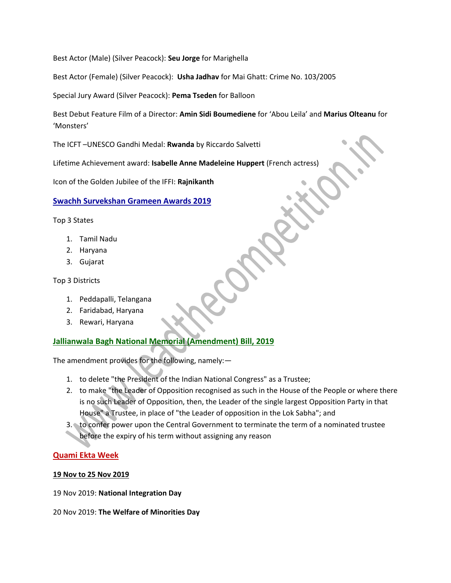Best Actor (Male) (Silver Peacock): **Seu Jorge** for Marighella

Best Actor (Female) (Silver Peacock): **Usha Jadhav** for Mai Ghatt: Crime No. 103/2005

Special Jury Award (Silver Peacock): **Pema Tseden** for Balloon

Best Debut Feature Film of a Director: **Amin Sidi Boumediene** for 'Abou Leila' and **Marius Olteanu** for 'Monsters'

The ICFT –UNESCO Gandhi Medal: **Rwanda** by Riccardo Salvetti

Lifetime Achievement award: **Isabelle Anne Madeleine Huppert** (French actress)

Icon of the Golden Jubilee of the IFFI: **Rajnikanth**

**Swachh Survekshan Grameen Awards 2019**

Top 3 States

- 1. Tamil Nadu
- 2. Haryana
- 3. Gujarat

Top 3 Districts

- 1. Peddapalli, Telangana
- 2. Faridabad, Haryana
- 3. Rewari, Haryana

### **Jallianwala Bagh National Memorial (Amendment) Bill, 2019**

The amendment provides for the following, namely:—

- 1. to delete "the President of the Indian National Congress" as a Trustee;
- 2. to make "the Leader of Opposition recognised as such in the House of the People or where there is no such Leader of Opposition, then, the Leader of the single largest Opposition Party in that House" a Trustee, in place of "the Leader of opposition in the Lok Sabha"; and
- 3. to confer power upon the Central Government to terminate the term of a nominated trustee before the expiry of his term without assigning any reason

### **Quami Ekta Week**

### **19 Nov to 25 Nov 2019**

19 Nov 2019: **National Integration Day**

20 Nov 2019: **The Welfare of Minorities Day**